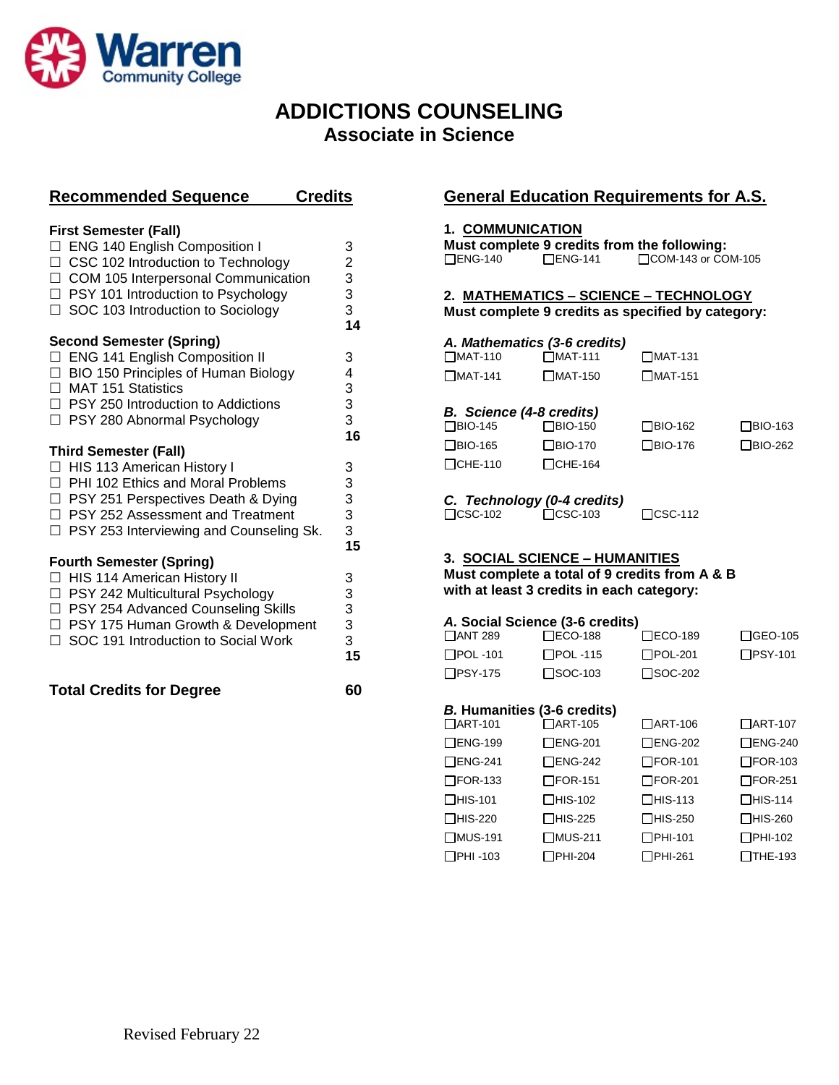

## **ADDICTIONS COUNSELING Associate in Science**

|                                       | <b>Recommended Sequence</b>                    | <b>Credits</b>                        |  |
|---------------------------------------|------------------------------------------------|---------------------------------------|--|
|                                       |                                                |                                       |  |
|                                       | <b>First Semester (Fall)</b>                   |                                       |  |
|                                       | □ ENG 140 English Composition I                | 3 2 3 3 3                             |  |
|                                       | □ CSC 102 Introduction to Technology           |                                       |  |
|                                       | □ COM 105 Interpersonal Communication          |                                       |  |
|                                       | $\Box$ PSY 101 Introduction to Psychology      |                                       |  |
|                                       | □ SOC 103 Introduction to Sociology            |                                       |  |
|                                       |                                                | 14                                    |  |
|                                       | <b>Second Semester (Spring)</b>                |                                       |  |
| П                                     | <b>ENG 141 English Composition II</b>          | 3                                     |  |
|                                       | $\Box$ BIO 150 Principles of Human Biology     | 4                                     |  |
|                                       | $\Box$ MAT 151 Statistics                      |                                       |  |
|                                       | $\Box$ PSY 250 Introduction to Addictions      | 3<br>3<br>3                           |  |
|                                       | □ PSY 280 Abnormal Psychology                  |                                       |  |
|                                       |                                                | 16                                    |  |
|                                       | <b>Third Semester (Fall)</b>                   |                                       |  |
|                                       | □ HIS 113 American History I                   | 3                                     |  |
|                                       | $\Box$ PHI 102 Ethics and Moral Problems       | 3                                     |  |
|                                       | □ PSY 251 Perspectives Death & Dying           |                                       |  |
|                                       | □ PSY 252 Assessment and Treatment             |                                       |  |
|                                       | $\Box$ PSY 253 Interviewing and Counseling Sk. | $\begin{array}{c} 3 \\ 3 \end{array}$ |  |
|                                       |                                                | 15                                    |  |
|                                       | <b>Fourth Semester (Spring)</b>                |                                       |  |
|                                       | □ HIS 114 American History II                  | 3                                     |  |
|                                       | □ PSY 242 Multicultural Psychology             |                                       |  |
|                                       | □ PSY 254 Advanced Counseling Skills           | 3<br>3                                |  |
|                                       | □ PSY 175 Human Growth & Development           |                                       |  |
|                                       | □ SOC 191 Introduction to Social Work          | $\frac{3}{3}$                         |  |
|                                       |                                                | 15                                    |  |
|                                       |                                                |                                       |  |
| <b>Total Credits for Degree</b><br>60 |                                                |                                       |  |
|                                       |                                                |                                       |  |
|                                       |                                                |                                       |  |
|                                       |                                                |                                       |  |

### **General Education Requirements for A.S.**

#### **1. COMMUNICATION**

|                |                | Must complete 9 credits from the following: |
|----------------|----------------|---------------------------------------------|
| $\Box$ ENG-140 | $\Box$ ENG-141 | $\Box$ COM-143 or COM-105                   |

#### **2. MATHEMATICS – SCIENCE – TECHNOLOGY Must complete 9 credits as specified by category:**

| A. Mathematics (3-6 credits)    |                |                |  |  |  |
|---------------------------------|----------------|----------------|--|--|--|
| $\Box$ MAT-110                  | $\Box$ MAT-111 | $\Box$ MAT-131 |  |  |  |
| $\Box$ MAT-141                  | $\Box$ MAT-150 | $\Box$ MAT-151 |  |  |  |
| <b>B.</b> Science (4-8 credits) |                |                |  |  |  |

| $P1$ origing the property |                |                |                |  |
|---------------------------|----------------|----------------|----------------|--|
| $\Box$ BIO-145            | $\Box$ BIO-150 | $\Box$ BIO-162 | $\Box$ BIO-163 |  |
| $\Box$ BIO-165            | $\Box$ BIO-170 | $\Box$ BIO-176 | □BIO-262       |  |
| $\Box$ CHE-110            | $\Box$ CHE-164 |                |                |  |

*C. Technology (0-4 credits)*

CSC-102 CSC-103 CSC-112

#### **3. SOCIAL SCIENCE – HUMANITIES**

**Must complete a total of 9 credits from A & B with at least 3 credits in each category:**

#### *A.* **Social Science (3-6 credits)**

| <b>TANT 289</b> | $\square$ ECO-188 | $\Box$ ECO-189    | $\Box$ GEO-105 |
|-----------------|-------------------|-------------------|----------------|
| $\Box$ POL -101 | <b>I POL</b> -115 | <b>I</b> IPOL-201 | $\Box$ PSY-101 |
| $\Box$ PSY-175  | $\square$ SOC-103 | $\square$ SOC-202 |                |

#### *B.* **Humanities (3-6 credits)**

| $\Box$ ART-101    | $\Box$ ART-105 | □ART-106       | □ART-107       |
|-------------------|----------------|----------------|----------------|
| $\square$ ENG-199 | $\Box$ ENG-201 | □ENG-202       | $\Box$ ENG-240 |
| $\square$ ENG-241 | $\Box$ ENG-242 | $\Box$ FOR-101 | □FOR-103       |
| $\square$ FOR-133 | $\Box$ FOR-151 | $\Box$ FOR-201 | $\Box$ FOR-251 |
| $\Box$ HIS-101    | $\Box$ HIS-102 | $\Box$ HIS-113 | $\Box$ HIS-114 |
| $\Box$ HIS-220    | $\Box$ HIS-225 | □HIS-250       | □HIS-260       |
| □MUS-191          | □MUS-211       | $\Box$ PHI-101 | □PHI-102       |
| □PHI-103          | □PHI-204       | □PHI-261       | □THE-193       |
|                   |                |                |                |